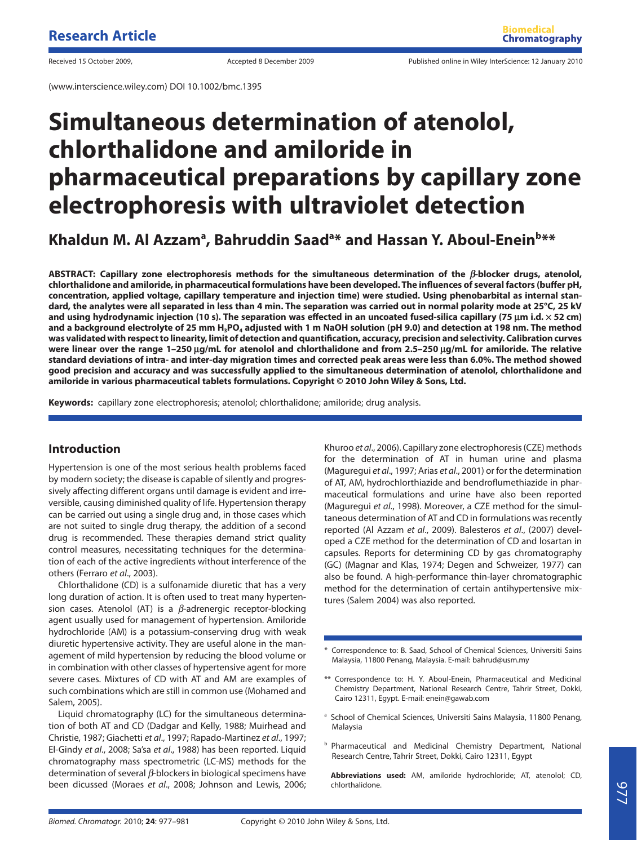# **Simultaneous determination of atenolol, chlorthalidone and amiloride in pharmaceutical preparations by capillary zone electrophoresis with ultraviolet detection**

Khaldun M. Al Azzam<sup>a</sup>, Bahruddin Saad<sup>a</sup>\* and Hassan Y. Aboul-Enein<sup>b</sup>\*\*

**ABSTRACT: Capillary zone electrophoresis methods for the simultaneous determination of the** *β***-blocker drugs, atenolol,**  chlorthalidone and amiloride, in pharmaceutical formulations have been developed. The influences of several factors (buffer pH, **concentration, applied voltage, capillary temperature and injection time) were studied. Using phenobarbital as internal standard, the analytes were all separated in less than 4 min. The separation was carried out in normal polarity mode at 25°C, 25 kV and using hydrodynamic injection (10 s). The separation was eff ected in an uncoated fused-silica capillary (75 μm i.d. × 52 cm)**  and a background electrolyte of 25 mm H<sub>3</sub>PO<sub>4</sub> adjusted with 1 m NaOH solution (pH 9.0) and detection at 198 nm. The method was validated with respect to linearity, limit of detection and quantification, accuracy, precision and selectivity. Calibration curves **were linear over the range 1–250 μg/mL for atenolol and chlorthalidone and from 2.5–250 μg/mL for amiloride. The relative standard deviations of intra- and inter-day migration times and corrected peak areas were less than 6.0%. The method showed good precision and accuracy and was successfully applied to the simultaneous determination of atenolol, chlorthalidone and amiloride in various pharmaceutical tablets formulations. Copyright © 2010 John Wiley & Sons, Ltd.**

**Keywords:** capillary zone electrophoresis; atenolol; chlorthalidone; amiloride; drug analysis.

## **Introduction**

Hypertension is one of the most serious health problems faced by modern society; the disease is capable of silently and progressively affecting different organs until damage is evident and irreversible, causing diminished quality of life. Hypertension therapy can be carried out using a single drug and, in those cases which are not suited to single drug therapy, the addition of a second drug is recommended. These therapies demand strict quality control measures, necessitating techniques for the determination of each of the active ingredients without interference of the others (Ferraro et al., 2003).

Chlorthalidone (CD) is a sulfonamide diuretic that has a very long duration of action. It is often used to treat many hypertension cases. Atenolol (AT) is a *β*-adrenergic receptor-blocking agent usually used for management of hypertension. Amiloride hydrochloride (AM) is a potassium-conserving drug with weak diuretic hypertensive activity. They are useful alone in the management of mild hypertension by reducing the blood volume or in combination with other classes of hypertensive agent for more severe cases. Mixtures of CD with AT and AM are examples of such combinations which are still in common use (Mohamed and Salem, 2005).

Liquid chromatography (LC) for the simultaneous determination of both AT and CD (Dadgar and Kelly, 1988; Muirhead and Christie, 1987; Giachetti et al., 1997; Rapado-Martinez et al., 1997; El-Gindy et al., 2008; Sa'sa et al., 1988) has been reported. Liquid chromatography mass spectrometric (LC-MS) methods for the determination of several *β*-blockers in biological specimens have been dicussed (Moraes et al., 2008; Johnson and Lewis, 2006;

Khuroo et al., 2006). Capillary zone electrophoresis (CZE) methods for the determination of AT in human urine and plasma (Maguregui et al., 1997; Arias et al., 2001) or for the determination of AT, AM, hydrochlorthiazide and bendroflumethiazide in pharmaceutical formulations and urine have also been reported (Maguregui et al., 1998). Moreover, a CZE method for the simultaneous determination of AT and CD in formulations was recently reported (Al Azzam et al., 2009). Balesteros et al., (2007) developed a CZE method for the determination of CD and losartan in capsules. Reports for determining CD by gas chromatography (GC) (Magnar and Klas, 1974; Degen and Schweizer, 1977) can also be found. A high-performance thin-layer chromatographic method for the determination of certain antihypertensive mixtures (Salem 2004) was also reported.

- \* Correspondence to: B. Saad, School of Chemical Sciences, Universiti Sains Malaysia, 11800 Penang, Malaysia. E-mail: bahrud@usm.my
- \*\* Correspondence to: H. Y. Aboul-Enein, Pharmaceutical and Medicinal Chemistry Department, National Research Centre, Tahrir Street, Dokki, Cairo 12311, Egypt. E-mail: enein@gawab.com
- <sup>a</sup> School of Chemical Sciences, Universiti Sains Malaysia, 11800 Penang, Malaysia
- **b** Pharmaceutical and Medicinal Chemistry Department, National Research Centre, Tahrir Street, Dokki, Cairo 12311, Egypt

**Abbreviations used:** AM, amiloride hydrochloride; AT, atenolol; CD, chlorthalidone.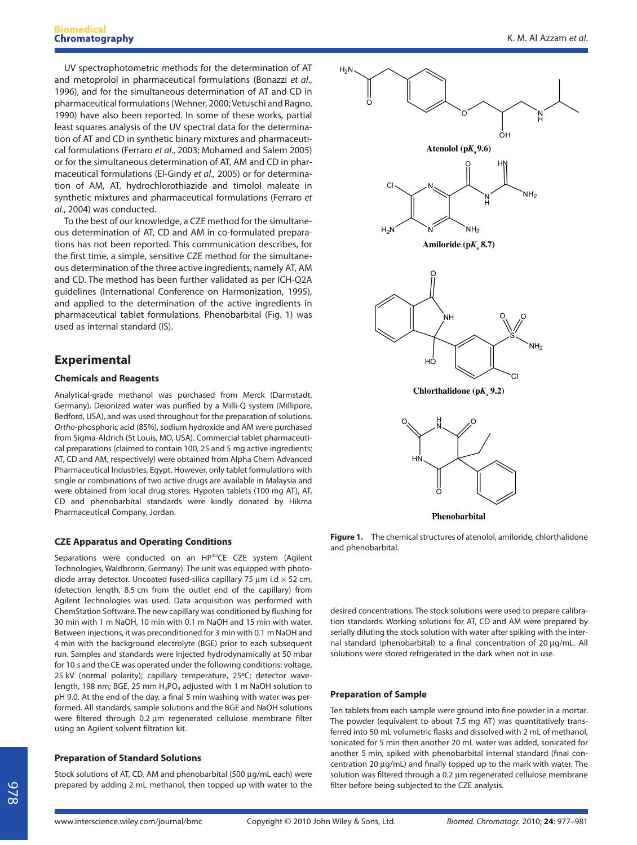UV spectrophotometric methods for the determination of AT and metoprolol in pharmaceutical formulations (Bonazzi et al., 1996), and for the simultaneous determination of AT and CD in pharmaceutical formulations (Wehner, 2000; Vetuschi and Ragno, 1990) have also been reported. In some of these works, partial least squares analysis of the UV spectral data for the determination of AT and CD in synthetic binary mixtures and pharmaceutical formulations (Ferraro et al., 2003; Mohamed and Salem 2005) or for the simultaneous determination of AT, AM and CD in pharmaceutical formulations (El-Gindy et al., 2005) or for determination of AM, AT, hydrochlorothiazide and timolol maleate in synthetic mixtures and pharmaceutical formulations (Ferraro et al., 2004) was conducted.

To the best of our knowledge, a CZE method for the simultaneous determination of AT, CD and AM in co-formulated preparations has not been reported. This communication describes, for the first time, a simple, sensitive CZE method for the simultaneous determination of the three active ingredients, namely AT, AM and CD. The method has been further validated as per ICH-Q2A guidelines (International Conference on Harmonization, 1995), and applied to the determination of the active ingredients in pharmaceutical tablet formulations. Phenobarbital (Fig. 1) was used as internal standard (IS).

# **Experimental**

## **Chemicals and Reagents**

Analytical-grade methanol was purchased from Merck (Darmstadt, Germany). Deionized water was purified by a Milli-Q system (Millipore, Bedford, USA), and was used throughout for the preparation of solutions. Ortho-phosphoric acid (85%), sodium hydroxide and AM were purchased from Sigma-Aldrich (St Louis, MO, USA). Commercial tablet pharmaceutical preparations (claimed to contain 100, 25 and 5 mg active ingredients; AT, CD and AM, respectively) were obtained from Alpha Chem Advanced Pharmaceutical Industries, Egypt. However, only tablet formulations with single or combinations of two active drugs are available in Malaysia and were obtained from local drug stores. Hypoten tablets (100 mg AT), AT, CD and phenobarbital standards were kindly donated by Hikma Pharmaceutical Company, Jordan.

## **CZE Apparatus and Operating Conditions**

Separations were conducted on an HP<sup>3D</sup>CE CZE system (Agilent Technologies, Waldbronn, Germany). The unit was equipped with photodiode array detector. Uncoated fused-silica capillary 75  $\mu$ m i.d  $\times$  52 cm, (detection length, 8.5 cm from the outlet end of the capillary) from Agilent Technologies was used. Data acquisition was performed with ChemStation Software. The new capillary was conditioned by flushing for 30 min with 1 m NaOH, 10 min with 0.1 m NaOH and 15 min with water. Between injections, it was preconditioned for 3 min with 0.1 m NaOH and 4 min with the background electrolyte (BGE) prior to each subsequent run. Samples and standards were injected hydrodynamically at 50 mbar for 10 s and the CE was operated under the following conditions: voltage, 25 kV (normal polarity); capillary temperature, 25ºC; detector wavelength, 198 nm; BGE, 25 mm H<sub>3</sub>PO<sub>4</sub> adjusted with 1 m NaOH solution to pH 9.0. At the end of the day, a final 5 min washing with water was performed. All standards, sample solutions and the BGE and NaOH solutions were filtered through 0.2 μm regenerated cellulose membrane filter using an Agilent solvent filtration kit.

Stock solutions of AT, CD, AM and phenobarbital (500 μg/mL each) were prepared by adding 2 mL methanol, then topped up with water to the

## **Preparation of Standard Solutions**



Phenobarbital

**Figure 1.** The chemical structures of atenolol, amiloride, chlorthalidone and phenobarbital.

desired concentrations. The stock solutions were used to prepare calibration standards. Working solutions for AT, CD and AM were prepared by serially diluting the stock solution with water after spiking with the internal standard (phenobarbital) to a final concentration of 20 μg/mL. All solutions were stored refrigerated in the dark when not in use.

#### **Preparation of Sample**

Ten tablets from each sample were ground into fine powder in a mortar. The powder (equivalent to about 7.5 mg AT) was quantitatively transferred into 50 mL volumetric flasks and dissolved with 2 mL of methanol, sonicated for 5 min then another 20 mL water was added, sonicated for another 5 min, spiked with phenobarbital internal standard (final concentration 20 μg/mL) and finally topped up to the mark with water. The solution was filtered through a 0.2 μm regenerated cellulose membrane filter before being subjected to the CZE analysis.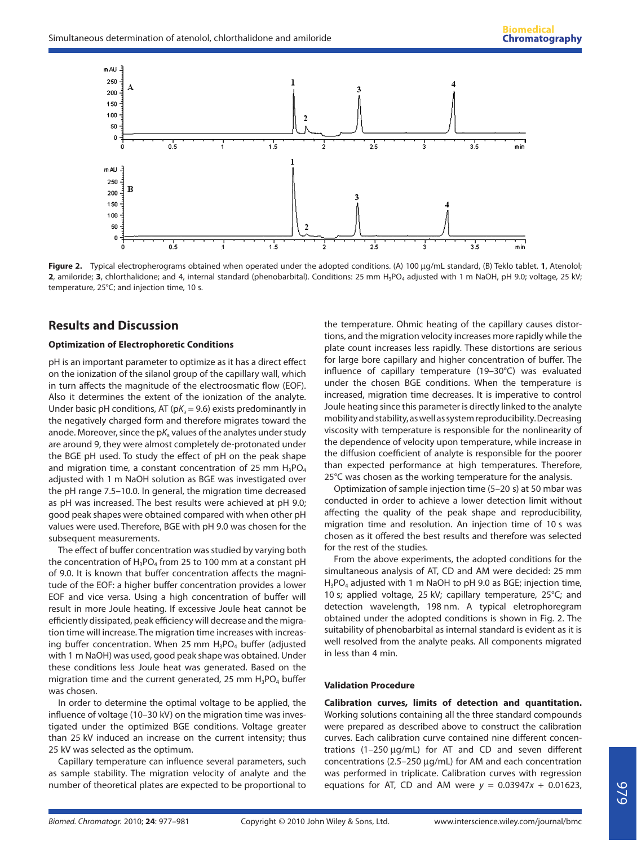

**Figure 2.** Typical electropherograms obtained when operated under the adopted conditions. (A) 100 μg/mL standard, (B) Teklo tablet. **1**, Atenolol; **2**, amiloride; **3**, chlorthalidone; and 4, internal standard (phenobarbital). Conditions: 25 mm H3PO4 adjusted with 1 m NaOH, pH 9.0; voltage, 25 kV; temperature, 25°C; and injection time, 10 s.

## **Results and Discussion**

#### **Optimization of Electrophoretic Conditions**

pH is an important parameter to optimize as it has a direct effect on the ionization of the silanol group of the capillary wall, which in turn affects the magnitude of the electroosmatic flow (EOF). Also it determines the extent of the ionization of the analyte. Under basic pH conditions, AT ( $pK_a = 9.6$ ) exists predominantly in the negatively charged form and therefore migrates toward the anode. Moreover, since the  $pK_a$  values of the analytes under study are around 9, they were almost completely de-protonated under the BGE pH used. To study the effect of pH on the peak shape and migration time, a constant concentration of 25 mm  $H_3PO_4$ adjusted with 1 m NaOH solution as BGE was investigated over the pH range 7.5–10.0. In general, the migration time decreased as pH was increased. The best results were achieved at pH 9.0; good peak shapes were obtained compared with when other pH values were used. Therefore, BGE with pH 9.0 was chosen for the subsequent measurements.

The effect of buffer concentration was studied by varying both the concentration of  $H_3PO_4$  from 25 to 100 mm at a constant pH of 9.0. It is known that buffer concentration affects the magnitude of the EOF: a higher buffer concentration provides a lower EOF and vice versa. Using a high concentration of buffer will result in more Joule heating. If excessive Joule heat cannot be efficiently dissipated, peak efficiency will decrease and the migration time will increase. The migration time increases with increasing buffer concentration. When 25 mm  $H_3PO_4$  buffer (adjusted with 1 m NaOH) was used, good peak shape was obtained. Under these conditions less Joule heat was generated. Based on the migration time and the current generated, 25 mm  $H_3PO_4$  buffer was chosen.

In order to determine the optimal voltage to be applied, the influence of voltage (10-30 kV) on the migration time was investigated under the optimized BGE conditions. Voltage greater than 25 kV induced an increase on the current intensity; thus 25 kV was selected as the optimum.

Capillary temperature can influence several parameters, such as sample stability. The migration velocity of analyte and the number of theoretical plates are expected to be proportional to

the temperature. Ohmic heating of the capillary causes distortions, and the migration velocity increases more rapidly while the plate count increases less rapidly. These distortions are serious for large bore capillary and higher concentration of buffer. The influence of capillary temperature  $(19-30^{\circ}C)$  was evaluated under the chosen BGE conditions. When the temperature is increased, migration time decreases. It is imperative to control Joule heating since this parameter is directly linked to the analyte mobility and stability, as well as system reproducibility. Decreasing viscosity with temperature is responsible for the nonlinearity of the dependence of velocity upon temperature, while increase in the diffusion coefficient of analyte is responsible for the poorer than expected performance at high temperatures. Therefore, 25℃ was chosen as the working temperature for the analysis.

Optimization of sample injection time (5–20 s) at 50 mbar was conducted in order to achieve a lower detection limit without affecting the quality of the peak shape and reproducibility, migration time and resolution. An injection time of 10 s was chosen as it offered the best results and therefore was selected for the rest of the studies.

From the above experiments, the adopted conditions for the simultaneous analysis of AT, CD and AM were decided: 25 mm H<sub>3</sub>PO<sub>4</sub> adjusted with 1 m NaOH to pH 9.0 as BGE; injection time, 10 s; applied voltage, 25 kV; capillary temperature, 25°C; and detection wavelength, 198 nm. A typical eletrophoregram obtained under the adopted conditions is shown in Fig. 2. The suitability of phenobarbital as internal standard is evident as it is well resolved from the analyte peaks. All components migrated in less than 4 min.

#### **Validation Procedure**

**Calibration curves, limits of detection and quantitation.** Working solutions containing all the three standard compounds were prepared as described above to construct the calibration curves. Each calibration curve contained nine different concentrations  $(1-250 \mu g/mL)$  for AT and CD and seven different concentrations (2.5–250 μg/mL) for AM and each concentration was performed in triplicate. Calibration curves with regression equations for AT, CD and AM were  $y = 0.03947x + 0.01623$ ,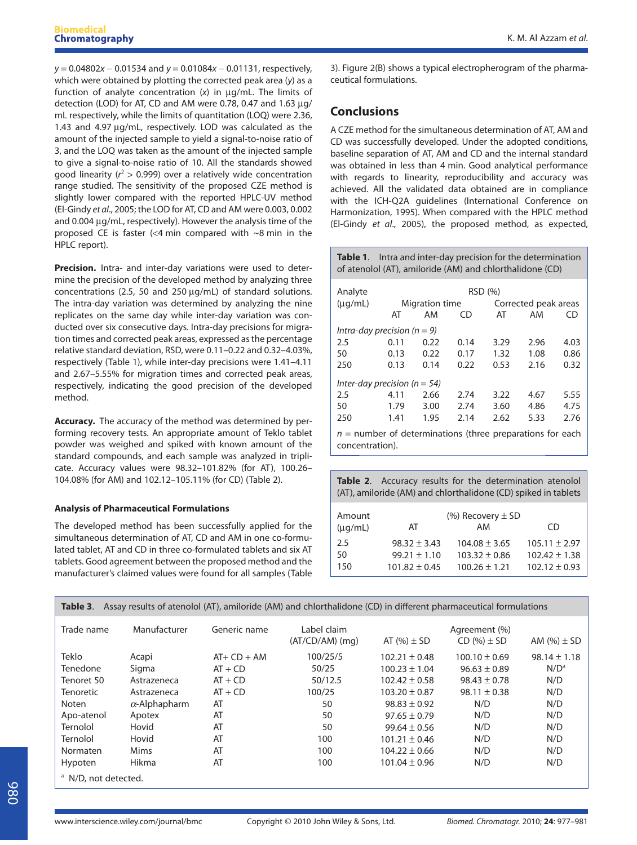y = 0.04802x − 0.01534 and y = 0.01084x − 0.01131, respectively, which were obtained by plotting the corrected peak area (y) as a function of analyte concentration (x) in μg/mL. The limits of detection (LOD) for AT, CD and AM were 0.78, 0.47 and 1.63 μg/ mL respectively, while the limits of quantitation (LOQ) were 2.36, 1.43 and 4.97 μg/mL, respectively. LOD was calculated as the amount of the injected sample to yield a signal-to-noise ratio of 3, and the LOQ was taken as the amount of the injected sample to give a signal-to-noise ratio of 10. All the standards showed good linearity ( $r^2 > 0.999$ ) over a relatively wide concentration range studied. The sensitivity of the proposed CZE method is slightly lower compared with the reported HPLC-UV method (El-Gindy et al., 2005; the LOD for AT, CD and AM were 0.003, 0.002 and 0.004 μg/mL, respectively). However the analysis time of the proposed CE is faster (<4 min compared with ~8 min in the HPLC report).

**Precision.** Intra- and inter-day variations were used to determine the precision of the developed method by analyzing three concentrations (2.5, 50 and 250 μg/mL) of standard solutions. The intra-day variation was determined by analyzing the nine replicates on the same day while inter-day variation was conducted over six consecutive days. Intra-day precisions for migration times and corrected peak areas, expressed as the percentage relative standard deviation, RSD, were 0.11–0.22 and 0.32–4.03%, respectively (Table 1), while inter-day precisions were 1.41–4.11 and 2.67–5.55% for migration times and corrected peak areas, respectively, indicating the good precision of the developed method.

**Accuracy.** The accuracy of the method was determined by performing recovery tests. An appropriate amount of Teklo tablet powder was weighed and spiked with known amount of the standard compounds, and each sample was analyzed in triplicate. Accuracy values were 98.32–101.82% (for AT), 100.26– 104.08% (for AM) and 102.12–105.11% (for CD) (Table 2).

## **Analysis of Pharmaceutical Formulations**

The developed method has been successfully applied for the simultaneous determination of AT, CD and AM in one co-formulated tablet, AT and CD in three co-formulated tablets and six AT tablets. Good agreement between the proposed method and the manufacturer's claimed values were found for all samples (Table

3). Figure 2(B) shows a typical electropherogram of the pharmaceutical formulations.

## **Conclusions**

A CZE method for the simultaneous determination of AT, AM and CD was successfully developed. Under the adopted conditions, baseline separation of AT, AM and CD and the internal standard was obtained in less than 4 min. Good analytical performance with regards to linearity, reproducibility and accuracy was achieved. All the validated data obtained are in compliance with the ICH-Q2A guidelines (International Conference on Harmonization, 1995). When compared with the HPLC method (El-Gindy et al., 2005), the proposed method, as expected,

**Table 1**. Intra and inter-day precision for the determination of atenolol (AT), amiloride (AM) and chlorthalidone (CD)

| Analyte                                                     | RSD (%)        |      |      |                      |      |      |  |
|-------------------------------------------------------------|----------------|------|------|----------------------|------|------|--|
| $(\mu q/mL)$                                                | Migration time |      |      | Corrected peak areas |      |      |  |
|                                                             | AT             | AM   | CD   | AT                   | AM   | CD   |  |
| Intra-day precision ( $n = 9$ )                             |                |      |      |                      |      |      |  |
| 2.5                                                         | 0.11           | 0.22 | 0.14 | 3.29                 | 2.96 | 4.03 |  |
| 50                                                          | 0.13           | 0.22 | 0.17 | 1.32                 | 1.08 | 0.86 |  |
| 250                                                         | 0.13           | 0.14 | 0.22 | 0.53                 | 2.16 | 0.32 |  |
| Inter-day precision ( $n = 54$ )                            |                |      |      |                      |      |      |  |
| 2.5                                                         | 4.11           | 2.66 | 2.74 | 3.22                 | 4.67 | 5.55 |  |
| 50                                                          | 1.79           | 3.00 | 2.74 | 3.60                 | 4.86 | 4.75 |  |
| 250                                                         | 1.41           | 1.95 | 2.14 | 2.62                 | 5.33 | 2.76 |  |
| $n -$ number of determinations (three preparations for each |                |      |      |                      |      |      |  |

 $n =$  number of determinations for  $t$ concentration).

**Table 2**. Accuracy results for the determination atenolol (AT), amiloride (AM) and chlorthalidone (CD) spiked in tablets

| Amount<br>$(\mu q/mL)$ | AT               | (%) Recovery $\pm$ SD<br>AM | CD                |
|------------------------|------------------|-----------------------------|-------------------|
| 2.5                    | $98.32 \pm 3.43$ | $104.08 \pm 3.65$           | $105.11 \pm 2.97$ |
| 50                     | $99.21 \pm 1.10$ | $103.32 \pm 0.86$           | $102.42 \pm 1.38$ |
| 150                    | $101.82 + 0.45$  | $100.26 + 1.21$             | $102.12 \pm 0.93$ |

| Assay results of atenolol (AT), amiloride (AM) and chlorthalidone (CD) in different pharmaceutical formulations<br>Table 3. |                      |               |                                  |                   |                                    |                  |  |
|-----------------------------------------------------------------------------------------------------------------------------|----------------------|---------------|----------------------------------|-------------------|------------------------------------|------------------|--|
| Trade name                                                                                                                  | Manufacturer         | Generic name  | Label claim<br>$(AT/CD/AM)$ (mg) | AT $(\%)\pm SD$   | Agreement (%)<br>$CD$ (%) $\pm$ SD | AM $(%)\pm SD$   |  |
| <b>Teklo</b>                                                                                                                | Acapi                | $AT+ CD + AM$ | 100/25/5                         | $102.21 \pm 0.48$ | $100.10 \pm 0.69$                  | $98.14 \pm 1.18$ |  |
| Tenedone                                                                                                                    | Sigma                | $AT + CD$     | 50/25                            | $100.23 \pm 1.04$ | $96.63 \pm 0.89$                   | N/D <sup>a</sup> |  |
| Tenoret 50                                                                                                                  | Astrazeneca          | $AT + CD$     | 50/12.5                          | $102.42 \pm 0.58$ | $98.43 \pm 0.78$                   | N/D              |  |
| <b>Tenoretic</b>                                                                                                            | Astrazeneca          | $AT + CD$     | 100/25                           | $103.20 \pm 0.87$ | $98.11 \pm 0.38$                   | N/D              |  |
| Noten                                                                                                                       | $\alpha$ -Alphapharm | AT            | 50                               | $98.83 \pm 0.92$  | N/D                                | N/D              |  |
| Apo-atenol                                                                                                                  | Apotex               | AT            | 50                               | $97.65 \pm 0.79$  | N/D                                | N/D              |  |
| Ternolol                                                                                                                    | Hovid                | AT            | 50                               | $99.64 \pm 0.56$  | N/D                                | N/D              |  |
| Ternolol                                                                                                                    | Hovid                | AT            | 100                              | $101.21 \pm 0.46$ | N/D                                | N/D              |  |
| Normaten                                                                                                                    | <b>Mims</b>          | AT            | 100                              | $104.22 \pm 0.66$ | N/D                                | N/D              |  |
| Hypoten                                                                                                                     | Hikma                | AT            | 100                              | $101.04 \pm 0.96$ | N/D                                | N/D              |  |
| <sup>a</sup> N/D, not detected.                                                                                             |                      |               |                                  |                   |                                    |                  |  |